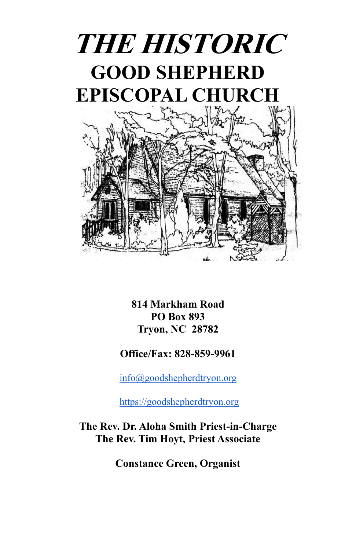

**814 Markham Road PO Box 893 Tryon, NC 28782**

#### **Office/Fax: 828-859-9961**

[info@goodshepherdtryon.org](mailto:info@goodshepherdtryon.org)

[https://goodshepherdtryon.org](https://goodshepherdtryon.org/)

**The Rev. Dr. Aloha Smith Priest-in-Charge The Rev. Tim Hoyt, Priest Associate**

**Constance Green, Organist**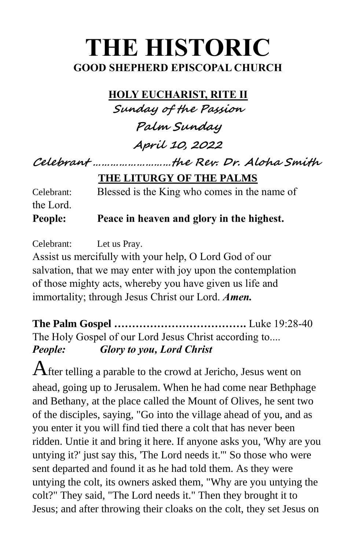# **THE HISTORIC GOOD SHEPHERD EPISCOPAL CHURCH**

**HOLY EUCHARIST, RITE II Sunday of the Passion**

**Palm Sunday**

**April 10, 2022**

**Celebrant ………………………the Rev. Dr. Aloha Smith**

**THE LITURGY OF THE PALMS**

Celebrant: Blessed is the King who comes in the name of the Lord.

**People: Peace in heaven and glory in the highest.**

Celebrant: Let us Pray.

Assist us mercifully with your help, O Lord God of our salvation, that we may enter with joy upon the contemplation of those mighty acts, whereby you have given us life and immortality; through Jesus Christ our Lord. *Amen.*

**The Palm Gospel ……………………………….** Luke 19:28-40 The Holy Gospel of our Lord Jesus Christ according to.... *People: Glory to you, Lord Christ*

 ${\mathbf A}$ fter telling a parable to the crowd at Jericho, Jesus went on ahead, going up to Jerusalem. When he had come near Bethphage and Bethany, at the place called the Mount of Olives, he sent two of the disciples, saying, "Go into the village ahead of you, and as you enter it you will find tied there a colt that has never been ridden. Untie it and bring it here. If anyone asks you, 'Why are you untying it?' just say this, 'The Lord needs it.'" So those who were sent departed and found it as he had told them. As they were untying the colt, its owners asked them, "Why are you untying the colt?" They said, "The Lord needs it." Then they brought it to Jesus; and after throwing their cloaks on the colt, they set Jesus on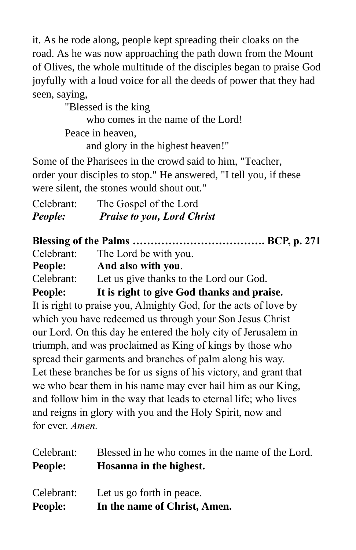it. As he rode along, people kept spreading their cloaks on the road. As he was now approaching the path down from the Mount of Olives, the whole multitude of the disciples began to praise God joyfully with a loud voice for all the deeds of power that they had seen, saying,

"Blessed is the king who comes in the name of the Lord! Peace in heaven, and glory in the highest heaven!"

Some of the Pharisees in the crowd said to him, "Teacher, order your disciples to stop." He answered, "I tell you, if these were silent, the stones would shout out."

| Celebrant: | The Gospel of the Lord            |
|------------|-----------------------------------|
| People:    | <b>Praise to you, Lord Christ</b> |

**Blessing of the Palms ………………………………. BCP, p. 271** Celebrant: The Lord be with you. **People: And also with you**. Celebrant: Let us give thanks to the Lord our God. **People: It is right to give God thanks and praise.** It is right to praise you, Almighty God, for the acts of love by which you have redeemed us through your Son Jesus Christ our Lord. On this day he entered the holy city of Jerusalem in triumph, and was proclaimed as King of kings by those who spread their garments and branches of palm along his way. Let these branches be for us signs of his victory, and grant that we who bear them in his name may ever hail him as our King, and follow him in the way that leads to eternal life; who lives and reigns in glory with you and the Holy Spirit, now and for ever. *Amen.*

| Celebrant:     | Blessed in he who comes in the name of the Lord. |
|----------------|--------------------------------------------------|
| <b>People:</b> | Hosanna in the highest.                          |
| Celebrant:     | Let us go forth in peace.                        |
| <b>People:</b> | In the name of Christ, Amen.                     |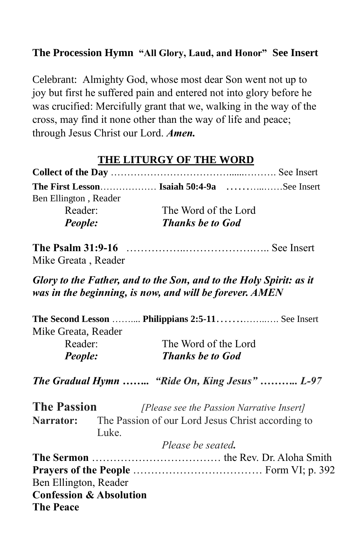### **The Procession Hymn "All Glory, Laud, and Honor" See Insert**

Celebrant: Almighty God, whose most dear Son went not up to joy but first he suffered pain and entered not into glory before he was crucified: Mercifully grant that we, walking in the way of the cross, may find it none other than the way of life and peace; through Jesus Christ our Lord. *Amen.*

# **THE LITURGY OF THE WORD**

| The First Lesson Isaiah 50:4-9a $\dots$ See Insert |                         |  |
|----------------------------------------------------|-------------------------|--|
| Ben Ellington, Reader                              |                         |  |
| Reader:                                            | The Word of the Lord    |  |
| <b>People:</b>                                     | <b>Thanks be to God</b> |  |

**The Psalm 31:9-16** ……………..……………….….. See Insert Mike Greata , Reader

*Glory to the Father, and to the Son, and to the Holy Spirit: as it was in the beginning, is now, and will be forever. AMEN*

| Mike Greata, Reader |                         |
|---------------------|-------------------------|
| Reader:             | The Word of the Lord    |
| <b>People:</b>      | <b>Thanks be to God</b> |
|                     |                         |

*The Gradual Hymn …….. "Ride On, King Jesus" ……….. L-97*

**The Passion** *[Please see the Passion Narrative Insert]* Narrator: The Passion of our Lord Jesus Christ according to Luke.

|                                    | Please be seated. |
|------------------------------------|-------------------|
|                                    |                   |
|                                    |                   |
| Ben Ellington, Reader              |                   |
| <b>Confession &amp; Absolution</b> |                   |
| <b>The Peace</b>                   |                   |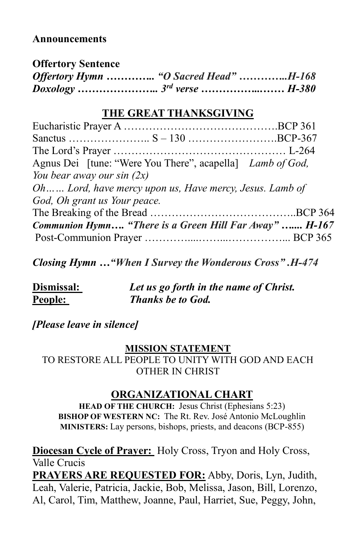#### **Announcements**

| <b>Offertory Sentence</b>             |  |
|---------------------------------------|--|
| Offertory Hymn  "O Sacred Head" H-168 |  |
|                                       |  |

## **THE GREAT THANKSGIVING**

| Agnus Dei [tune: "Were You There", acapella] Lamb of God, |  |
|-----------------------------------------------------------|--|
| You bear away our sin $(2x)$                              |  |
| Oh Lord, have mercy upon us, Have mercy, Jesus. Lamb of   |  |
| God, Oh grant us Your peace.                              |  |
|                                                           |  |
| Communion Hymn "There is a Green Hill Far Away"  H-167    |  |
|                                                           |  |

*Closing Hymn …"When I Survey the Wonderous Cross" .H-474*

| Dismissal: | Let us go forth in the name of Christ. |
|------------|----------------------------------------|
| People:    | <b>Thanks be to God.</b>               |

#### *[Please leave in silence]*

#### **MISSION STATEMENT**

TO RESTORE ALL PEOPLE TO UNITY WITH GOD AND EACH OTHER IN CHRIST

# **ORGANIZATIONAL CHART**

**HEAD OF THE CHURCH:** Jesus Christ (Ephesians 5:23) **BISHOP OF WESTERN NC:** The Rt. Rev. José Antonio McLoughlin **MINISTERS:** Lay persons, bishops, priests, and deacons (BCP-855)

**Diocesan Cycle of Prayer:** Holy Cross, Tryon and Holy Cross, Valle Crucis **PRAYERS ARE REQUESTED FOR:** Abby, Doris, Lyn, Judith, Leah, Valerie, Patricia, Jackie, Bob, Melissa, Jason, Bill, Lorenzo, Al, Carol, Tim, Matthew, Joanne, Paul, Harriet, Sue, Peggy, John,